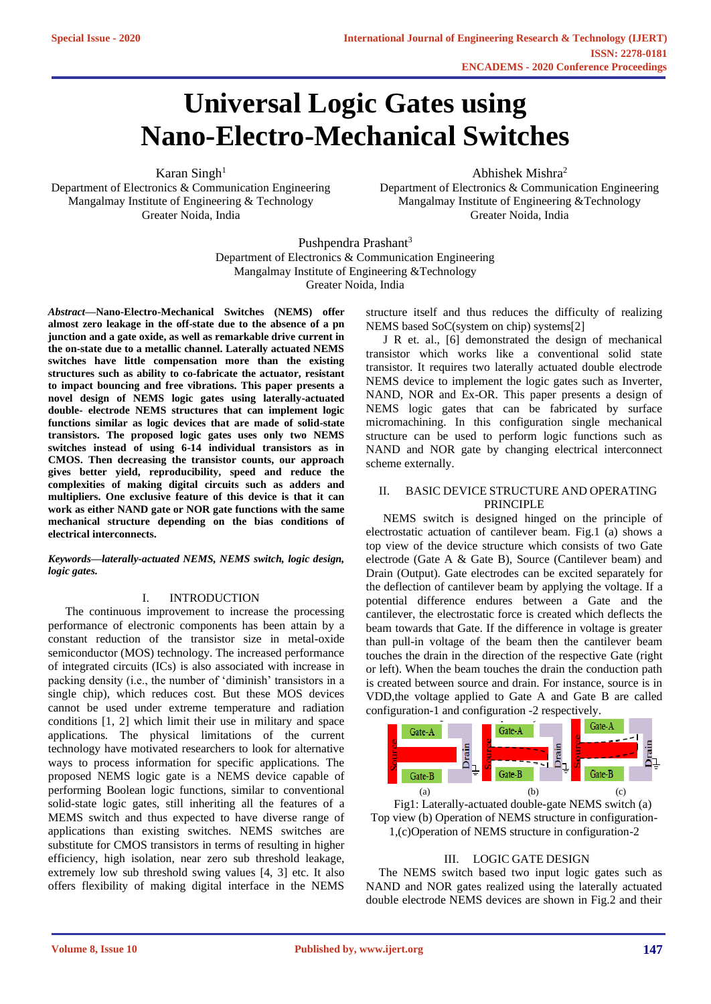# **Universal Logic Gates using Nano-Electro-Mechanical Switches**

Karan Singh $1$ 

Department of Electronics & Communication Engineering Mangalmay Institute of Engineering & Technology Greater Noida, India

Abhishek Mishra<sup>2</sup>

Department of Electronics & Communication Engineering Mangalmay Institute of Engineering &Technology Greater Noida, India

Pushpendra Prashant<sup>3</sup> Department of Electronics & Communication Engineering Mangalmay Institute of Engineering &Technology Greater Noida, India

*Abstract—***Nano-Electro-Mechanical Switches (NEMS) offer almost zero leakage in the off-state due to the absence of a pn junction and a gate oxide, as well as remarkable drive current in the on-state due to a metallic channel. Laterally actuated NEMS switches have little compensation more than the existing structures such as ability to co-fabricate the actuator, resistant to impact bouncing and free vibrations. This paper presents a novel design of NEMS logic gates using laterally-actuated double- electrode NEMS structures that can implement logic functions similar as logic devices that are made of solid-state transistors. The proposed logic gates uses only two NEMS switches instead of using 6-14 individual transistors as in CMOS. Then decreasing the transistor counts, our approach gives better yield, reproducibility, speed and reduce the complexities of making digital circuits such as adders and multipliers. One exclusive feature of this device is that it can work as either NAND gate or NOR gate functions with the same mechanical structure depending on the bias conditions of electrical interconnects.**

*Keywords—laterally-actuated NEMS, NEMS switch, logic design, logic gates.*

## I. INTRODUCTION

The continuous improvement to increase the processing performance of electronic components has been attain by a constant reduction of the transistor size in metal-oxide semiconductor (MOS) technology. The increased performance of integrated circuits (ICs) is also associated with increase in packing density (i.e., the number of 'diminish' transistors in a single chip), which reduces cost. But these MOS devices cannot be used under extreme temperature and radiation conditions [1, 2] which limit their use in military and space applications. The physical limitations of the current technology have motivated researchers to look for alternative ways to process information for specific applications. The proposed NEMS logic gate is a NEMS device capable of performing Boolean logic functions, similar to conventional solid-state logic gates, still inheriting all the features of a MEMS switch and thus expected to have diverse range of applications than existing switches. NEMS switches are substitute for CMOS transistors in terms of resulting in higher efficiency, high isolation, near zero sub threshold leakage, extremely low sub threshold swing values [4, 3] etc. It also offers flexibility of making digital interface in the NEMS

structure itself and thus reduces the difficulty of realizing NEMS based SoC(system on chip) systems[2]

J R et. al., [6] demonstrated the design of mechanical transistor which works like a conventional solid state transistor. It requires two laterally actuated double electrode NEMS device to implement the logic gates such as Inverter, NAND, NOR and Ex-OR. This paper presents a design of NEMS logic gates that can be fabricated by surface micromachining. In this configuration single mechanical structure can be used to perform logic functions such as NAND and NOR gate by changing electrical interconnect scheme externally.

# II. BASIC DEVICE STRUCTURE AND OPERATING PRINCIPLE

NEMS switch is designed hinged on the principle of electrostatic actuation of cantilever beam. Fig.1 (a) shows a top view of the device structure which consists of two Gate electrode (Gate A & Gate B), Source (Cantilever beam) and Drain (Output). Gate electrodes can be excited separately for the deflection of cantilever beam by applying the voltage. If a potential difference endures between a Gate and the cantilever, the electrostatic force is created which deflects the beam towards that Gate. If the difference in voltage is greater than pull-in voltage of the beam then the cantilever beam touches the drain in the direction of the respective Gate (right or left). When the beam touches the drain the conduction path is created between source and drain. For instance, source is in VDD,the voltage applied to Gate A and Gate B are called configuration-1 and configuration -2 respectively.



Fig1: Laterally-actuated double-gate NEMS switch (a) Top view (b) Operation of NEMS structure in configuration-1,(c)Operation of NEMS structure in configuration-2

# III. LOGIC GATE DESIGN

The NEMS switch based two input logic gates such as NAND and NOR gates realized using the laterally actuated double electrode NEMS devices are shown in Fig.2 and their